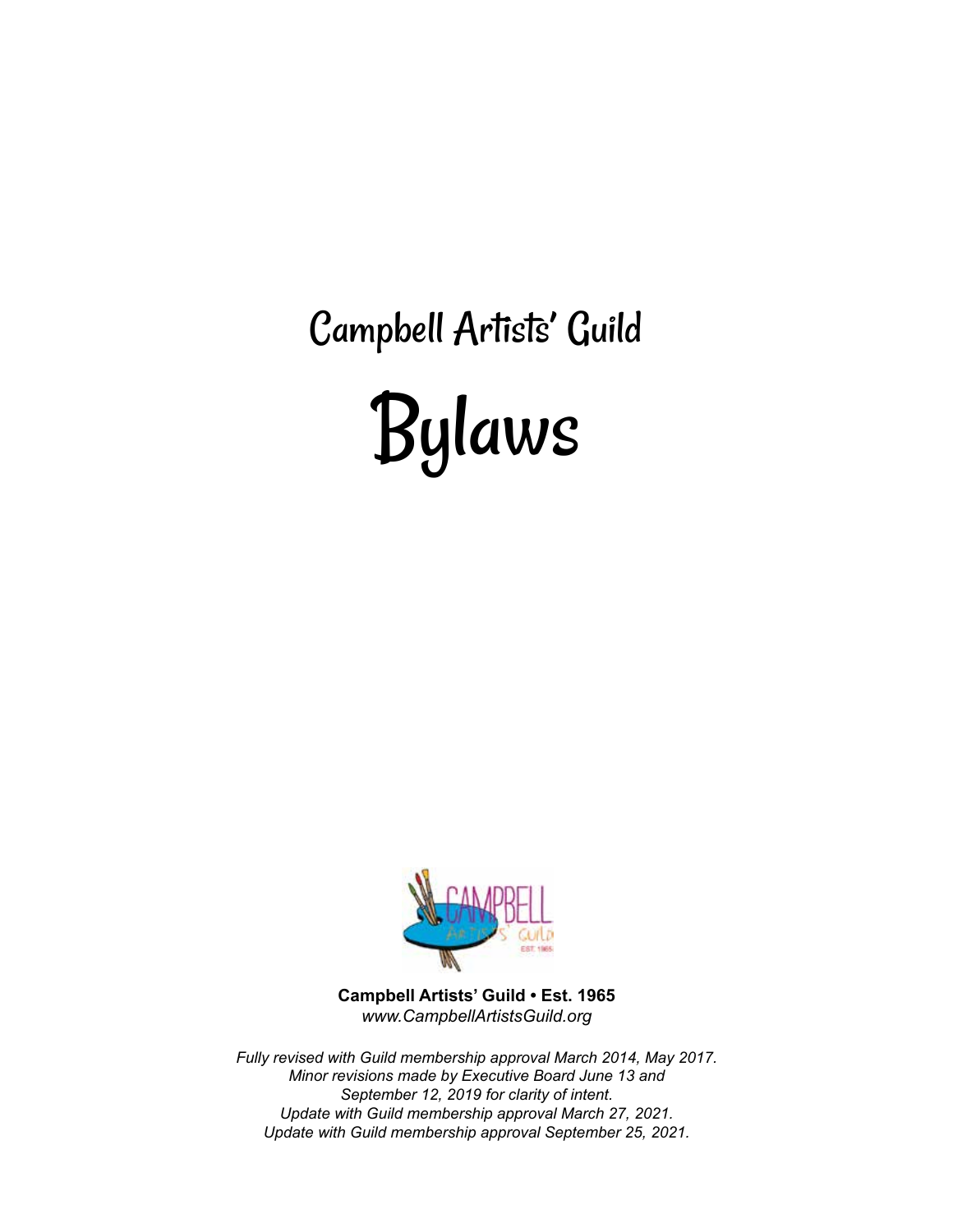Campbell Artists' Guild Bylaws



**Campbell Artists' Guild • Est. 1965** *www.CampbellArtistsGuild.org*

*Fully revised with Guild membership approval March 2014, May 2017. Minor revisions made by Executive Board June 13 and September 12, 2019 for clarity of intent. Update with Guild membership approval March 27, 2021. Update with Guild membership approval September 25, 2021.*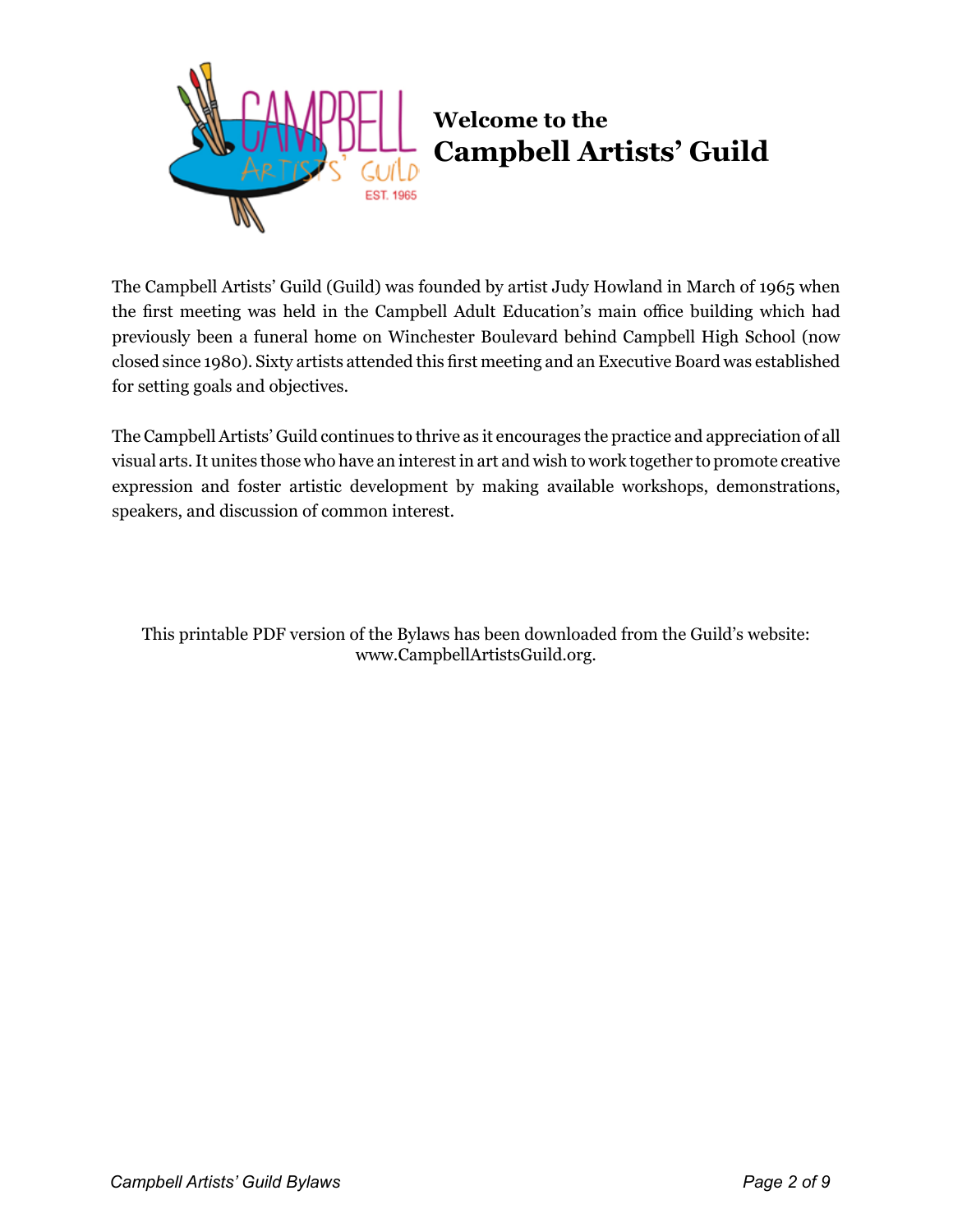

# **Welcome to the Campbell Artists' Guild**

The Campbell Artists' Guild (Guild) was founded by artist Judy Howland in March of 1965 when the first meeting was held in the Campbell Adult Education's main office building which had previously been a funeral home on Winchester Boulevard behind Campbell High School (now closed since 1980). Sixty artists attended this first meeting and an Executive Board was established for setting goals and objectives.

The Campbell Artists' Guild continues to thrive as it encourages the practice and appreciation of all visual arts. It unites those who have an interest in art and wish to work together to promote creative expression and foster artistic development by making available workshops, demonstrations, speakers, and discussion of common interest.

This printable PDF version of the Bylaws has been downloaded from the Guild's website: www.CampbellArtistsGuild.org.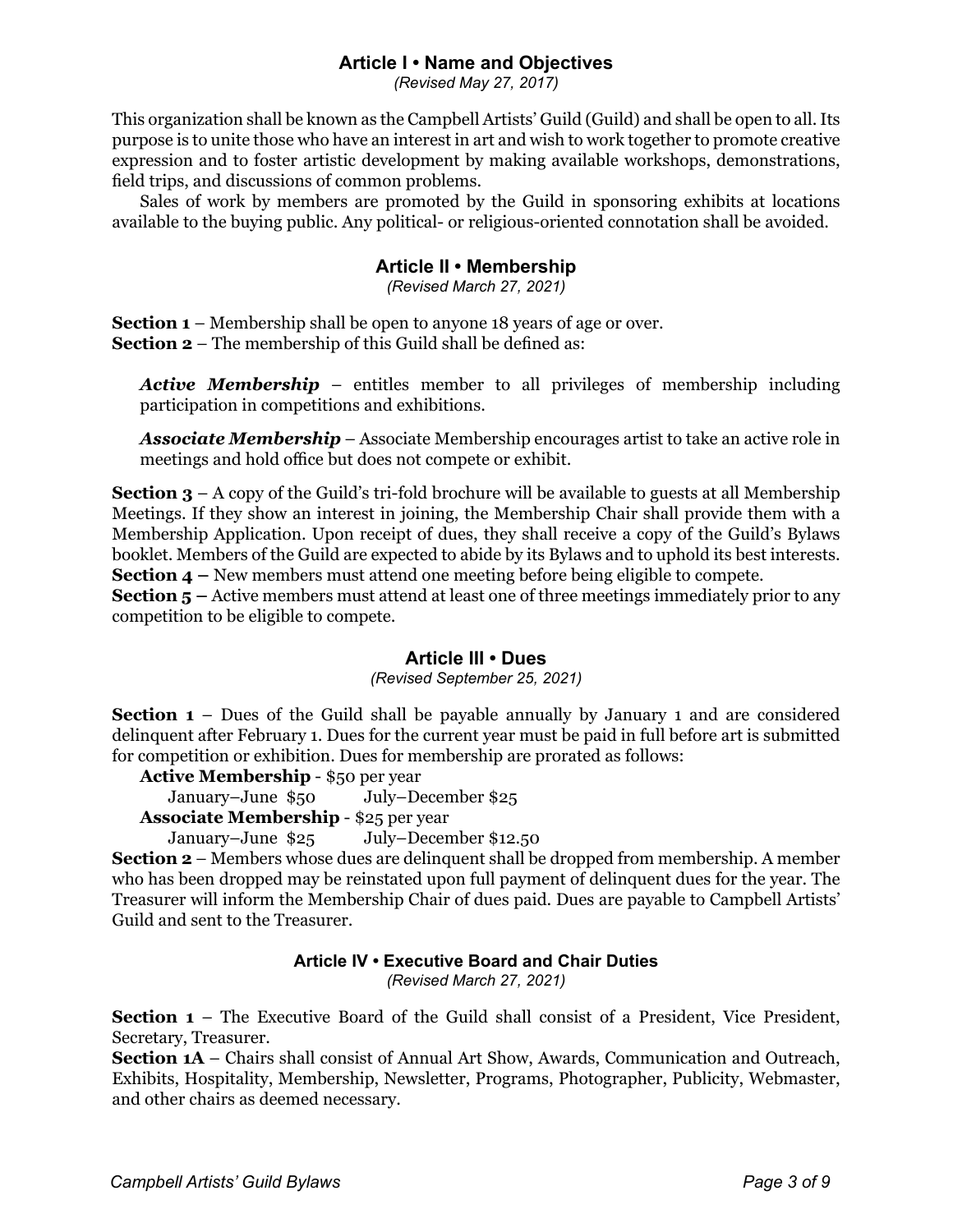## **Article I • Name and Objectives**

*(Revised May 27, 2017)*

This organization shall be known as the Campbell Artists' Guild (Guild) and shall be open to all. Its purpose is to unite those who have an interest in art and wish to work together to promote creative expression and to foster artistic development by making available workshops, demonstrations, field trips, and discussions of common problems.

Sales of work by members are promoted by the Guild in sponsoring exhibits at locations available to the buying public. Any political- or religious-oriented connotation shall be avoided.

# **Article II • Membership**

*(Revised March 27, 2021)*

**Section 1** – Membership shall be open to anyone 18 years of age or over. **Section 2** – The membership of this Guild shall be defined as:

*Active Membership* – entitles member to all privileges of membership including participation in competitions and exhibitions.

*Associate Membership* – Associate Membership encourages artist to take an active role in meetings and hold office but does not compete or exhibit.

**Section 3** – A copy of the Guild's tri-fold brochure will be available to guests at all Membership Meetings. If they show an interest in joining, the Membership Chair shall provide them with a Membership Application. Upon receipt of dues, they shall receive a copy of the Guild's Bylaws booklet. Members of the Guild are expected to abide by its Bylaws and to uphold its best interests. **Section 4 –** New members must attend one meeting before being eligible to compete.

**Section 5** – Active members must attend at least one of three meetings immediately prior to any competition to be eligible to compete.

#### **Article III • Dues**

#### *(Revised September 25, 2021)*

**Section 1** – Dues of the Guild shall be payable annually by January 1 and are considered delinquent after February 1. Dues for the current year must be paid in full before art is submitted for competition or exhibition. Dues for membership are prorated as follows:

**Active Membership** - \$50 per year

January–June \$50 July–December \$25

**Associate Membership** - \$25 per year

```
January–June $25 July–December $12.50
```
**Section 2** – Members whose dues are delinquent shall be dropped from membership. A member who has been dropped may be reinstated upon full payment of delinquent dues for the year. The Treasurer will inform the Membership Chair of dues paid. Dues are payable to Campbell Artists' Guild and sent to the Treasurer.

# **Article IV • Executive Board and Chair Duties**

*(Revised March 27, 2021)*

**Section 1** – The Executive Board of the Guild shall consist of a President, Vice President, Secretary, Treasurer.

**Section 1A** – Chairs shall consist of Annual Art Show, Awards, Communication and Outreach, Exhibits, Hospitality, Membership, Newsletter, Programs, Photographer, Publicity, Webmaster, and other chairs as deemed necessary.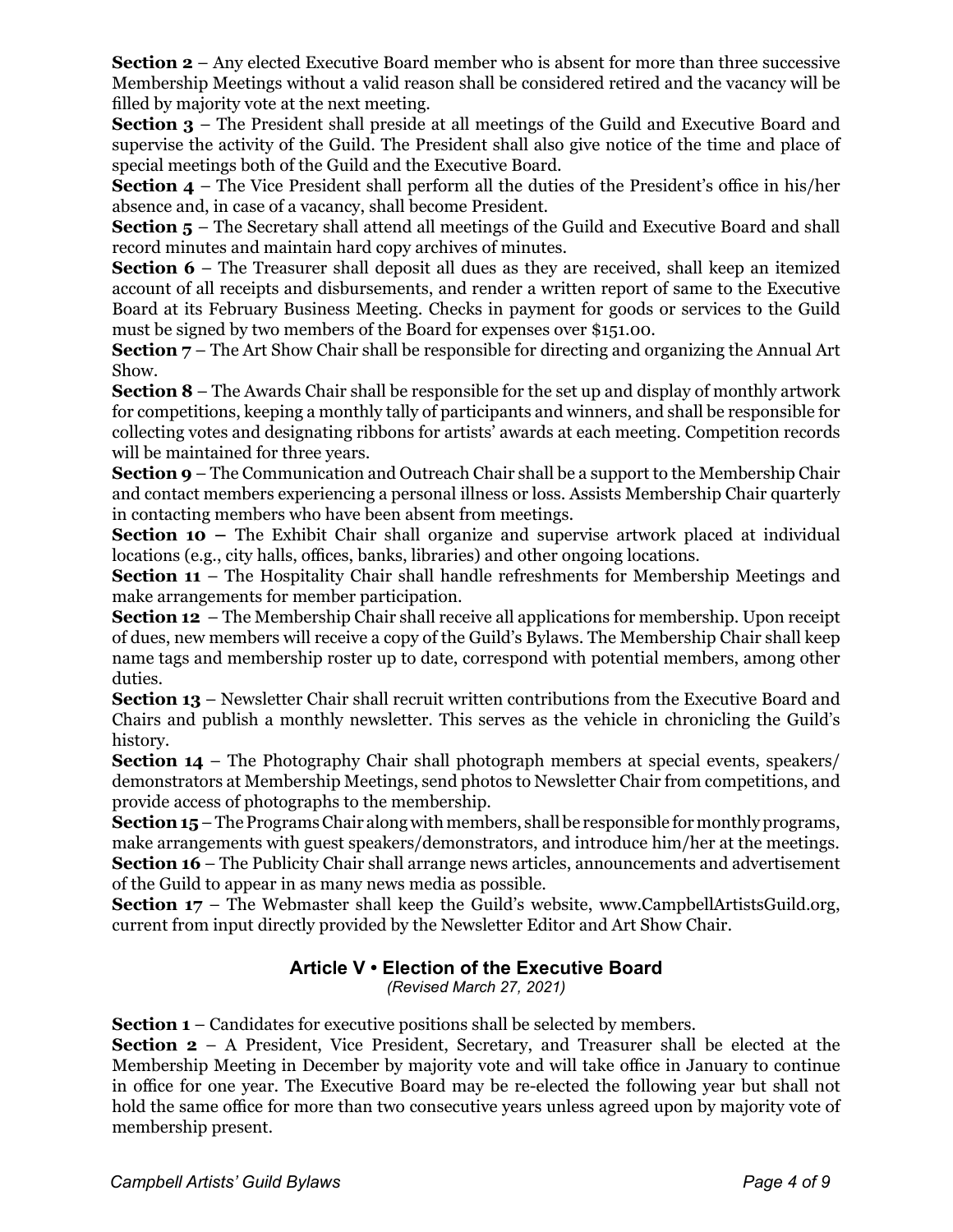**Section 2** – Any elected Executive Board member who is absent for more than three successive Membership Meetings without a valid reason shall be considered retired and the vacancy will be filled by majority vote at the next meeting.

**Section 3** – The President shall preside at all meetings of the Guild and Executive Board and supervise the activity of the Guild. The President shall also give notice of the time and place of special meetings both of the Guild and the Executive Board.

**Section 4** – The Vice President shall perform all the duties of the President's office in his/her absence and, in case of a vacancy, shall become President.

**Section 5** – The Secretary shall attend all meetings of the Guild and Executive Board and shall record minutes and maintain hard copy archives of minutes.

**Section 6** – The Treasurer shall deposit all dues as they are received, shall keep an itemized account of all receipts and disbursements, and render a written report of same to the Executive Board at its February Business Meeting. Checks in payment for goods or services to the Guild must be signed by two members of the Board for expenses over \$151.00.

**Section 7** – The Art Show Chair shall be responsible for directing and organizing the Annual Art Show.

**Section 8** – The Awards Chair shall be responsible for the set up and display of monthly artwork for competitions, keeping a monthly tally of participants and winners, and shall be responsible for collecting votes and designating ribbons for artists' awards at each meeting. Competition records will be maintained for three years.

**Section 9** – The Communication and Outreach Chair shall be a support to the Membership Chair and contact members experiencing a personal illness or loss. Assists Membership Chair quarterly in contacting members who have been absent from meetings.

**Section 10 – The Exhibit Chair shall organize and supervise artwork placed at individual** locations (e.g., city halls, offices, banks, libraries) and other ongoing locations.

**Section 11** – The Hospitality Chair shall handle refreshments for Membership Meetings and make arrangements for member participation.

**Section 12** – The Membership Chair shall receive all applications for membership. Upon receipt of dues, new members will receive a copy of the Guild's Bylaws. The Membership Chair shall keep name tags and membership roster up to date, correspond with potential members, among other duties.

**Section 13** – Newsletter Chair shall recruit written contributions from the Executive Board and Chairs and publish a monthly newsletter. This serves as the vehicle in chronicling the Guild's history.

**Section 14** – The Photography Chair shall photograph members at special events, speakers/ demonstrators at Membership Meetings, send photos to Newsletter Chair from competitions, and provide access of photographs to the membership.

**Section 15** – The Programs Chair along with members, shall be responsible for monthly programs, make arrangements with guest speakers/demonstrators, and introduce him/her at the meetings. **Section 16** – The Publicity Chair shall arrange news articles, announcements and advertisement of the Guild to appear in as many news media as possible.

**Section 17** – The Webmaster shall keep the Guild's website, www.CampbellArtistsGuild.org, current from input directly provided by the Newsletter Editor and Art Show Chair.

# **Article V • Election of the Executive Board**

*(Revised March 27, 2021)*

**Section 1** – Candidates for executive positions shall be selected by members.

**Section 2** – A President, Vice President, Secretary, and Treasurer shall be elected at the Membership Meeting in December by majority vote and will take office in January to continue in office for one year. The Executive Board may be re-elected the following year but shall not hold the same office for more than two consecutive years unless agreed upon by majority vote of membership present.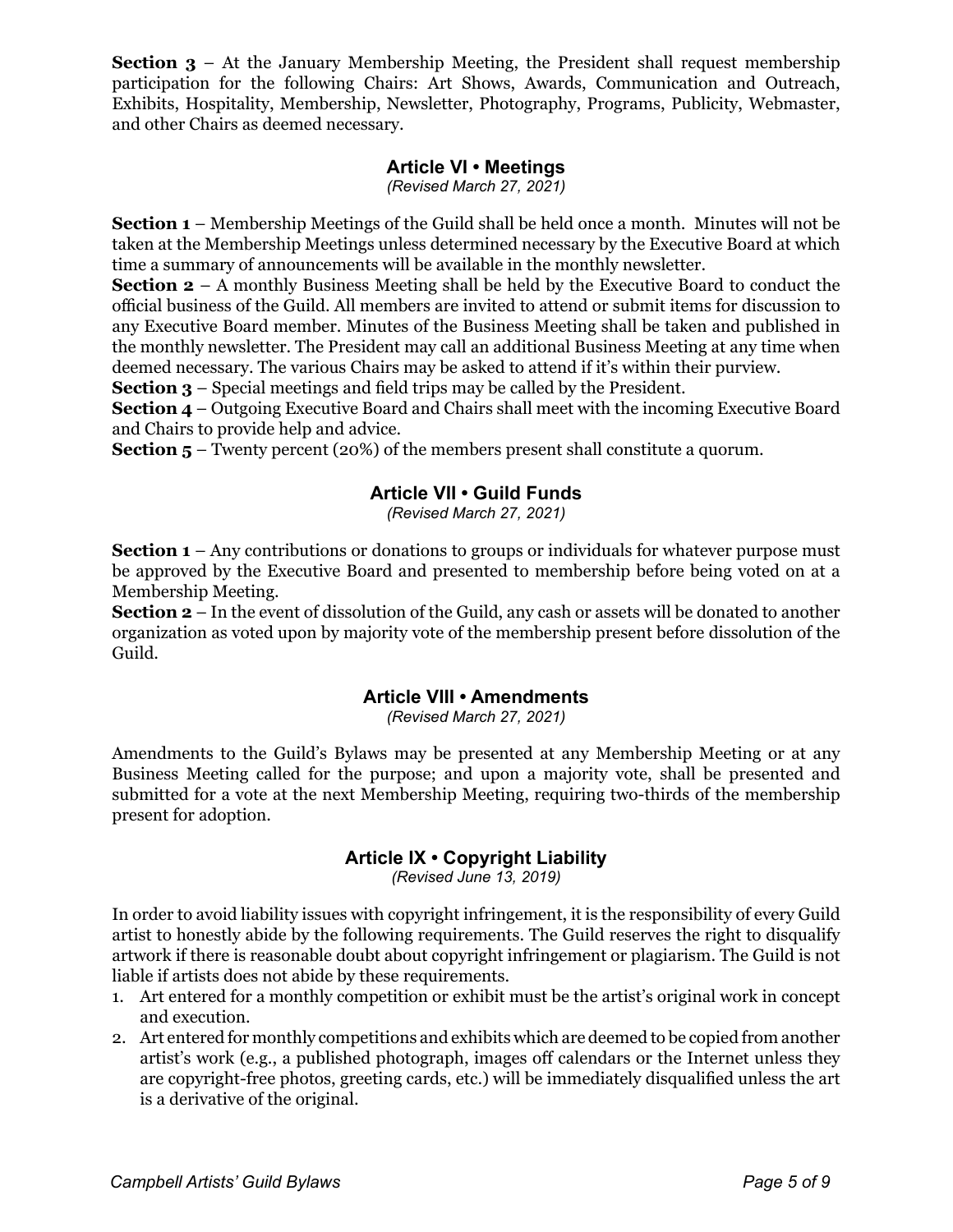**Section 3** – At the January Membership Meeting, the President shall request membership participation for the following Chairs: Art Shows, Awards, Communication and Outreach, Exhibits, Hospitality, Membership, Newsletter, Photography, Programs, Publicity, Webmaster, and other Chairs as deemed necessary.

# **Article VI • Meetings**

*(Revised March 27, 2021)*

**Section 1** – Membership Meetings of the Guild shall be held once a month. Minutes will not be taken at the Membership Meetings unless determined necessary by the Executive Board at which time a summary of announcements will be available in the monthly newsletter.

**Section 2** – A monthly Business Meeting shall be held by the Executive Board to conduct the official business of the Guild. All members are invited to attend or submit items for discussion to any Executive Board member. Minutes of the Business Meeting shall be taken and published in the monthly newsletter. The President may call an additional Business Meeting at any time when deemed necessary. The various Chairs may be asked to attend if it's within their purview.

**Section 3** – Special meetings and field trips may be called by the President.

**Section 4** – Outgoing Executive Board and Chairs shall meet with the incoming Executive Board and Chairs to provide help and advice.

**Section 5** – Twenty percent (20%) of the members present shall constitute a quorum.

# **Article VII • Guild Funds**

*(Revised March 27, 2021)*

**Section 1** – Any contributions or donations to groups or individuals for whatever purpose must be approved by the Executive Board and presented to membership before being voted on at a Membership Meeting.

**Section 2** – In the event of dissolution of the Guild, any cash or assets will be donated to another organization as voted upon by majority vote of the membership present before dissolution of the Guild.

# **Article VIII • Amendments**

*(Revised March 27, 2021)*

Amendments to the Guild's Bylaws may be presented at any Membership Meeting or at any Business Meeting called for the purpose; and upon a majority vote, shall be presented and submitted for a vote at the next Membership Meeting, requiring two-thirds of the membership present for adoption.

# **Article IX • Copyright Liability**

*(Revised June 13, 2019)*

In order to avoid liability issues with copyright infringement, it is the responsibility of every Guild artist to honestly abide by the following requirements. The Guild reserves the right to disqualify artwork if there is reasonable doubt about copyright infringement or plagiarism. The Guild is not liable if artists does not abide by these requirements.

- 1. Art entered for a monthly competition or exhibit must be the artist's original work in concept and execution.
- 2. Art entered for monthly competitions and exhibits which are deemed to be copied from another artist's work (e.g., a published photograph, images off calendars or the Internet unless they are copyright-free photos, greeting cards, etc.) will be immediately disqualified unless the art is a derivative of the original.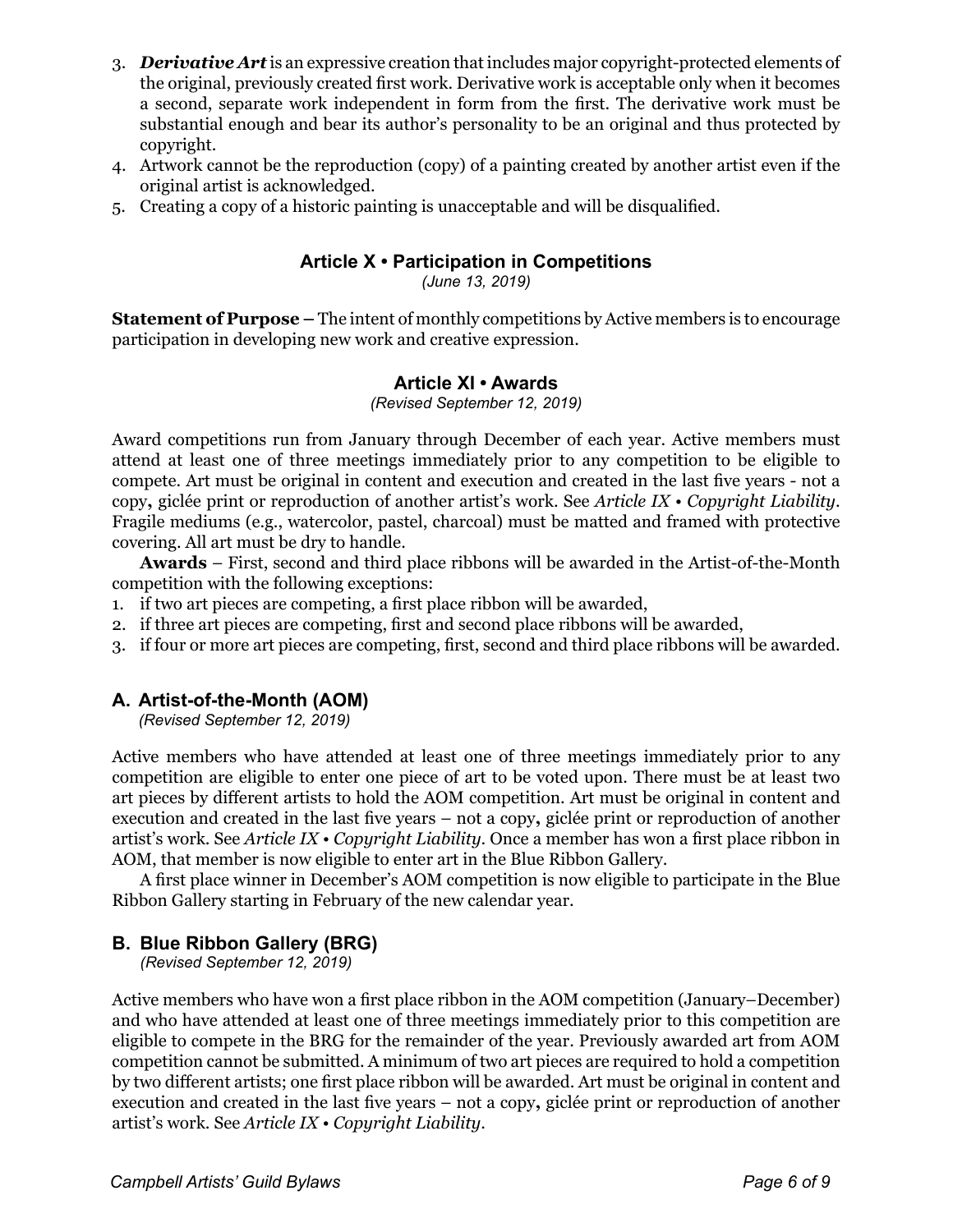- 3. *Derivative Art* is an expressive creation that includes major copyright-protected elements of the original, previously created first work. Derivative work is acceptable only when it becomes a second, separate work independent in form from the first. The derivative work must be substantial enough and bear its author's personality to be an original and thus protected by copyright.
- 4. Artwork cannot be the reproduction (copy) of a painting created by another artist even if the original artist is acknowledged.
- 5. Creating a copy of a historic painting is unacceptable and will be disqualified.

# **Article X • Participation in Competitions**

*(June 13, 2019)*

**Statement of Purpose –** The intent of monthly competitions by Active members is to encourage participation in developing new work and creative expression.

#### **Article XI • Awards**

*(Revised September 12, 2019)*

Award competitions run from January through December of each year. Active members must attend at least one of three meetings immediately prior to any competition to be eligible to compete. Art must be original in content and execution and created in the last five years - not a copy**,** giclée print or reproduction of another artist's work. See *Article IX • Copyright Liability*. Fragile mediums (e.g., watercolor, pastel, charcoal) must be matted and framed with protective covering. All art must be dry to handle.

**Awards** – First, second and third place ribbons will be awarded in the Artist-of-the-Month competition with the following exceptions:

- 1. if two art pieces are competing, a first place ribbon will be awarded,
- 2. if three art pieces are competing, first and second place ribbons will be awarded,
- 3. if four or more art pieces are competing, first, second and third place ribbons will be awarded.

#### **A. Artist-of-the-Month (AOM)**

*(Revised September 12, 2019)*

Active members who have attended at least one of three meetings immediately prior to any competition are eligible to enter one piece of art to be voted upon. There must be at least two art pieces by different artists to hold the AOM competition. Art must be original in content and execution and created in the last five years – not a copy**,** giclée print or reproduction of another artist's work. See *Article IX • Copyright Liability*. Once a member has won a first place ribbon in AOM, that member is now eligible to enter art in the Blue Ribbon Gallery.

A first place winner in December's AOM competition is now eligible to participate in the Blue Ribbon Gallery starting in February of the new calendar year.

# **B. Blue Ribbon Gallery (BRG)**

*(Revised September 12, 2019)*

Active members who have won a first place ribbon in the AOM competition (January–December) and who have attended at least one of three meetings immediately prior to this competition are eligible to compete in the BRG for the remainder of the year. Previously awarded art from AOM competition cannot be submitted. A minimum of two art pieces are required to hold a competition by two different artists; one first place ribbon will be awarded. Art must be original in content and execution and created in the last five years – not a copy**,** giclée print or reproduction of another artist's work. See *Article IX • Copyright Liability*.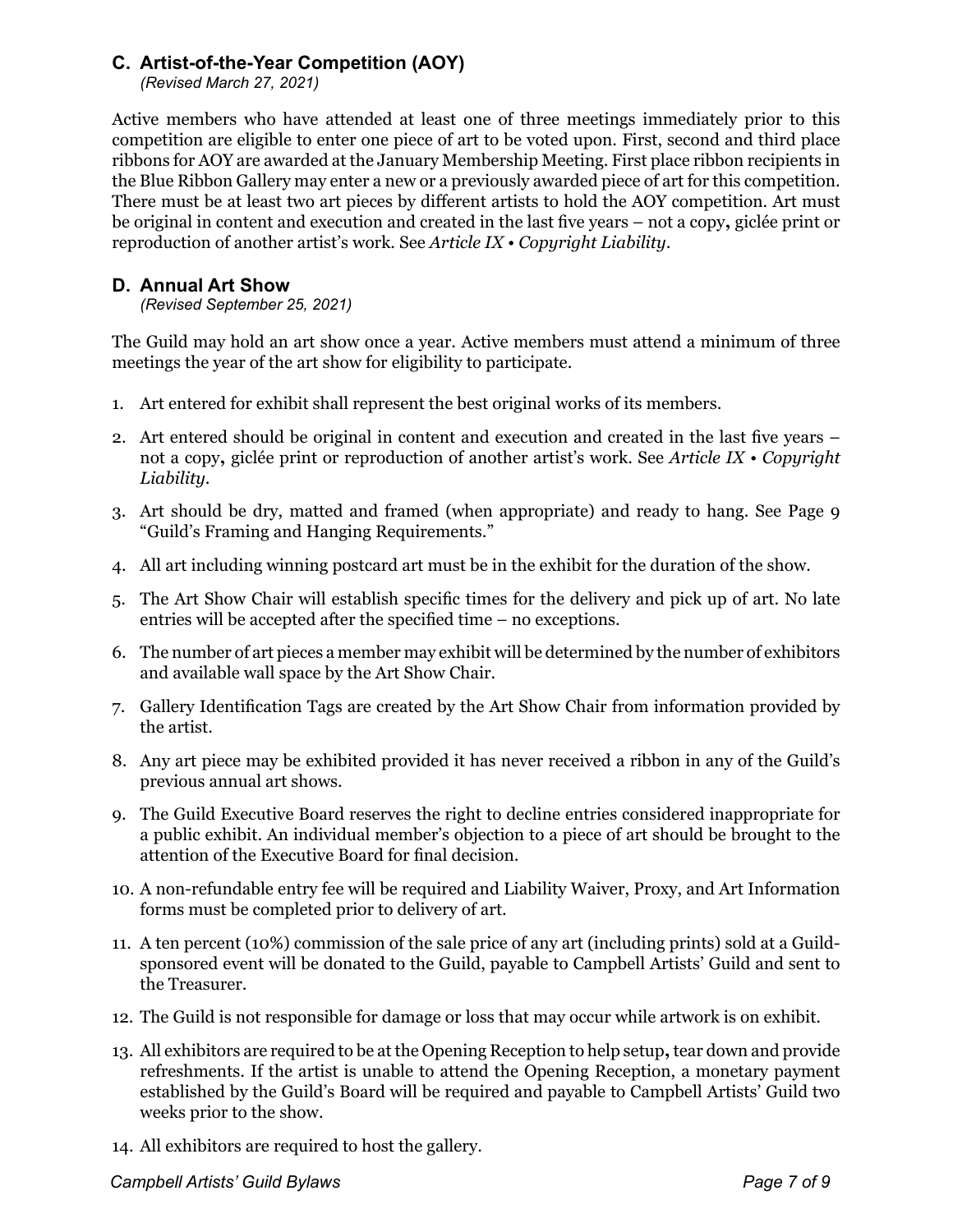# **C. Artist-of-the-Year Competition (AOY)**

*(Revised March 27, 2021)*

Active members who have attended at least one of three meetings immediately prior to this competition are eligible to enter one piece of art to be voted upon. First, second and third place ribbons for AOY are awarded at the January Membership Meeting. First place ribbon recipients in the Blue Ribbon Gallery may enter a new or a previously awarded piece of art for this competition. There must be at least two art pieces by different artists to hold the AOY competition. Art must be original in content and execution and created in the last five years – not a copy**,** giclée print or reproduction of another artist's work. See *Article IX • Copyright Liability*.

## **D. Annual Art Show**

*(Revised September 25, 2021)*

The Guild may hold an art show once a year. Active members must attend a minimum of three meetings the year of the art show for eligibility to participate.

- 1. Art entered for exhibit shall represent the best original works of its members.
- 2. Art entered should be original in content and execution and created in the last five years not a copy**,** giclée print or reproduction of another artist's work. See *Article IX • Copyright Liability*.
- 3. Art should be dry, matted and framed (when appropriate) and ready to hang. See Page 9 "Guild's Framing and Hanging Requirements."
- 4. All art including winning postcard art must be in the exhibit for the duration of the show.
- 5. The Art Show Chair will establish specific times for the delivery and pick up of art. No late entries will be accepted after the specified time – no exceptions.
- 6. The number of art pieces a member may exhibit will be determined by the number of exhibitors and available wall space by the Art Show Chair.
- 7. Gallery Identification Tags are created by the Art Show Chair from information provided by the artist.
- 8. Any art piece may be exhibited provided it has never received a ribbon in any of the Guild's previous annual art shows.
- 9. The Guild Executive Board reserves the right to decline entries considered inappropriate for a public exhibit. An individual member's objection to a piece of art should be brought to the attention of the Executive Board for final decision.
- 10. A non-refundable entry fee will be required and Liability Waiver, Proxy, and Art Information forms must be completed prior to delivery of art.
- 11. A ten percent (10%) commission of the sale price of any art (including prints) sold at a Guildsponsored event will be donated to the Guild, payable to Campbell Artists' Guild and sent to the Treasurer.
- 12. The Guild is not responsible for damage or loss that may occur while artwork is on exhibit.
- 13. All exhibitors are required to be at the Opening Reception to help setup**,** tear down and provide refreshments. If the artist is unable to attend the Opening Reception, a monetary payment established by the Guild's Board will be required and payable to Campbell Artists' Guild two weeks prior to the show.
- 14. All exhibitors are required to host the gallery.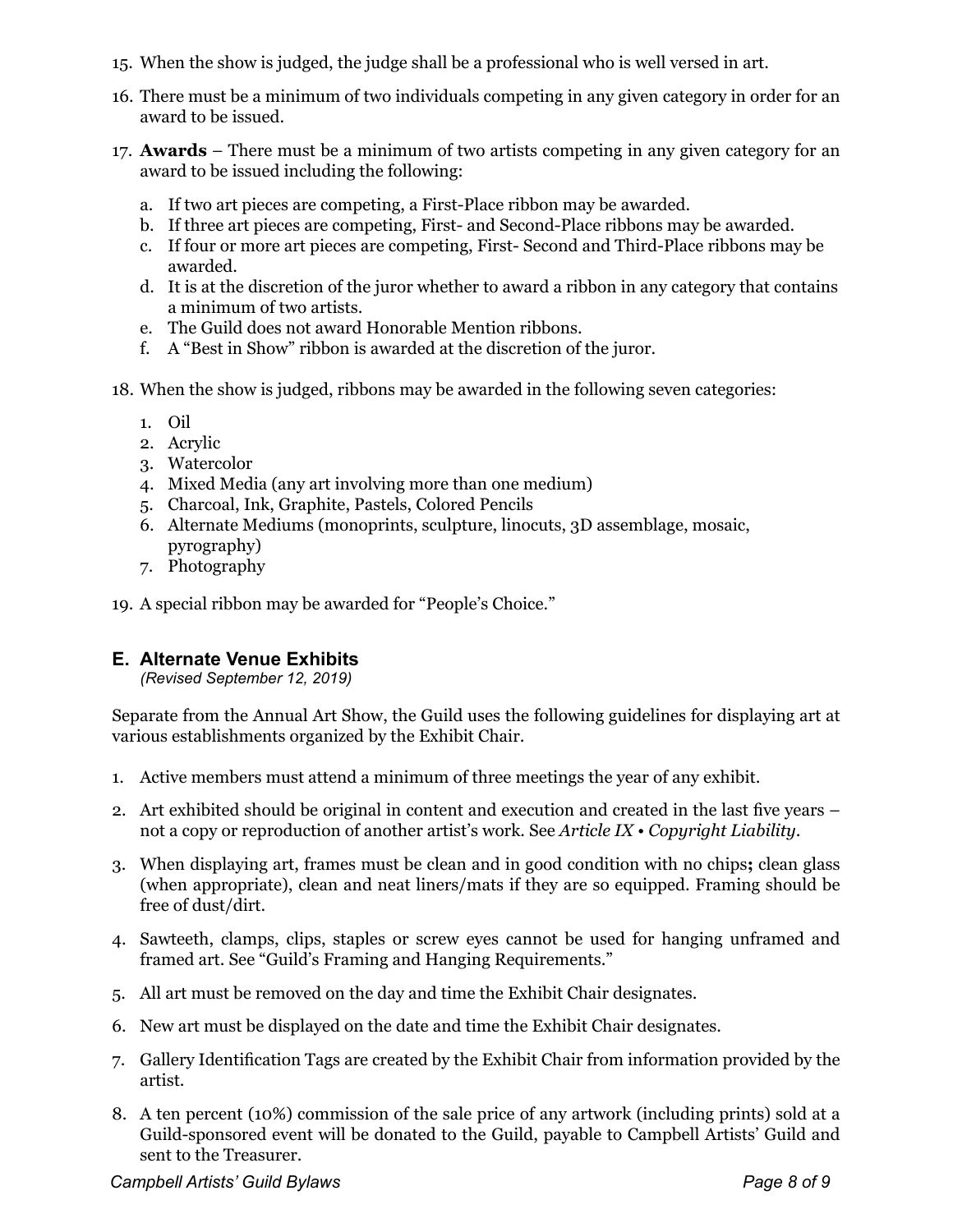- 15. When the show is judged, the judge shall be a professional who is well versed in art.
- 16. There must be a minimum of two individuals competing in any given category in order for an award to be issued.
- 17. **Awards** There must be a minimum of two artists competing in any given category for an award to be issued including the following:
	- a. If two art pieces are competing, a First-Place ribbon may be awarded.
	- b. If three art pieces are competing, First- and Second-Place ribbons may be awarded.
	- c. If four or more art pieces are competing, First- Second and Third-Place ribbons may be awarded.
	- d. It is at the discretion of the juror whether to award a ribbon in any category that contains a minimum of two artists.
	- e. The Guild does not award Honorable Mention ribbons.
	- f. A "Best in Show" ribbon is awarded at the discretion of the juror.
- 18. When the show is judged, ribbons may be awarded in the following seven categories:
	- 1. Oil
	- 2. Acrylic
	- 3. Watercolor
	- 4. Mixed Media (any art involving more than one medium)
	- 5. Charcoal, Ink, Graphite, Pastels, Colored Pencils
	- 6. Alternate Mediums (monoprints, sculpture, linocuts, 3D assemblage, mosaic, pyrography)
	- 7. Photography

19. A special ribbon may be awarded for "People's Choice."

# **E. Alternate Venue Exhibits**

*(Revised September 12, 2019)*

Separate from the Annual Art Show, the Guild uses the following guidelines for displaying art at various establishments organized by the Exhibit Chair.

- 1. Active members must attend a minimum of three meetings the year of any exhibit.
- 2. Art exhibited should be original in content and execution and created in the last five years not a copy or reproduction of another artist's work. See *Article IX • Copyright Liability*.
- 3. When displaying art, frames must be clean and in good condition with no chips**;** clean glass (when appropriate), clean and neat liners/mats if they are so equipped. Framing should be free of dust/dirt.
- 4. Sawteeth, clamps, clips, staples or screw eyes cannot be used for hanging unframed and framed art. See "Guild's Framing and Hanging Requirements."
- 5. All art must be removed on the day and time the Exhibit Chair designates.
- 6. New art must be displayed on the date and time the Exhibit Chair designates.
- 7. Gallery Identification Tags are created by the Exhibit Chair from information provided by the artist.
- 8. A ten percent (10%) commission of the sale price of any artwork (including prints) sold at a Guild-sponsored event will be donated to the Guild, payable to Campbell Artists' Guild and sent to the Treasurer.